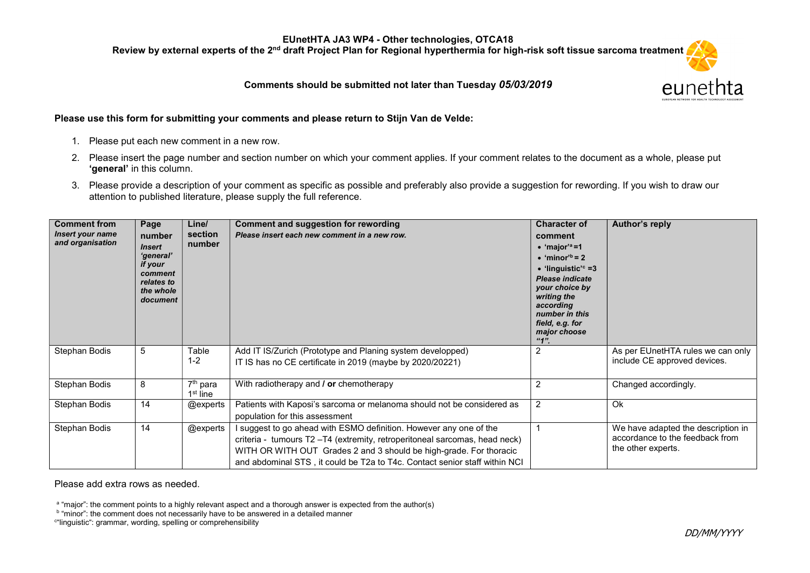Review by external experts of the 2<sup>nd</sup> draft Project Plan for Regional hyperthermia for high-risk soft tissue sarcoma treatment

Comments should be submitted not later than Tuesday 05/03/2019



### Please use this form for submitting your comments and please return to Stijn Van de Velde:

- 1. Please put each new comment in a new row.
- 2. Please insert the page number and section number on which your comment applies. If your comment relates to the document as a whole, please put 'aeneral' in this column.
- 3. Please provide a description of your comment as specific as possible and preferably also provide a suggestion for rewording. If you wish to draw our attention to published literature, please supply the full reference.

| <b>Comment from</b><br>Insert your name<br>and organisation | Page<br>number<br><i><b>Insert</b></i><br>'general'<br>if your<br>comment<br>relates to<br>the whole<br>document | Line/<br>section<br>number | <b>Comment and suggestion for rewording</b><br>Please insert each new comment in a new row.                                                                                                                                                                                                          | <b>Character of</b><br>comment<br>$\bullet$ 'major' <sup>a</sup> =1<br>$\bullet$ 'minor <sup>'b</sup> = 2<br>• 'linguistic' <sup>c</sup> = 3<br><b>Please indicate</b><br>your choice by<br>writing the<br>according<br>number in this<br>field, e.g. for<br>major choose<br>4.1 | Author's reply                                                                              |
|-------------------------------------------------------------|------------------------------------------------------------------------------------------------------------------|----------------------------|------------------------------------------------------------------------------------------------------------------------------------------------------------------------------------------------------------------------------------------------------------------------------------------------------|----------------------------------------------------------------------------------------------------------------------------------------------------------------------------------------------------------------------------------------------------------------------------------|---------------------------------------------------------------------------------------------|
| Stephan Bodis                                               | 5                                                                                                                | Table<br>$1 - 2$           | Add IT IS/Zurich (Prototype and Planing system developped)<br>IT IS has no CE certificate in 2019 (maybe by 2020/20221)                                                                                                                                                                              | 2                                                                                                                                                                                                                                                                                | As per EUnetHTA rules we can only<br>include CE approved devices.                           |
| Stephan Bodis                                               | 8                                                                                                                | $7th$ para<br>$1st$ line   | With radiotherapy and / or chemotherapy                                                                                                                                                                                                                                                              | $\overline{2}$                                                                                                                                                                                                                                                                   | Changed accordingly.                                                                        |
| Stephan Bodis                                               | 14                                                                                                               | @experts                   | Patients with Kaposi's sarcoma or melanoma should not be considered as<br>population for this assessment                                                                                                                                                                                             | 2                                                                                                                                                                                                                                                                                | Ok                                                                                          |
| Stephan Bodis                                               | 14                                                                                                               | @experts                   | I suggest to go ahead with ESMO definition. However any one of the<br>criteria - tumours T2 -T4 (extremity, retroperitoneal sarcomas, head neck)<br>WITH OR WITH OUT Grades 2 and 3 should be high-grade. For thoracic<br>and abdominal STS, it could be T2a to T4c. Contact senior staff within NCI |                                                                                                                                                                                                                                                                                  | We have adapted the description in<br>accordance to the feedback from<br>the other experts. |

Please add extra rows as needed.

a "major": the comment points to a highly relevant aspect and a thorough answer is expected from the author(s)

b "minor": the comment does not necessarily have to be answered in a detailed manner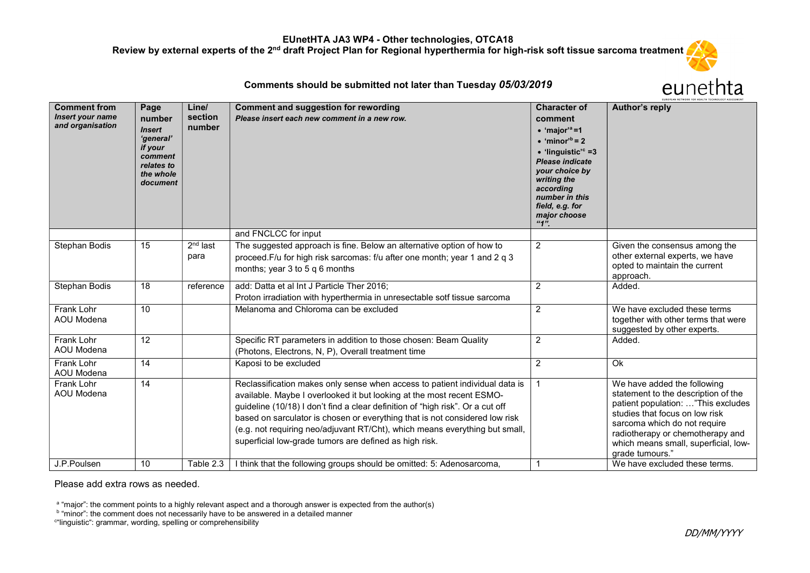Review by external experts of the 2<sup>nd</sup> draft Project Plan for Regional hyperthermia for high-risk soft tissue sarcoma treatment

# eunethta

## Comments should be submitted not later than Tuesday 05/03/2019

| <b>Comment from</b><br><b>Insert your name</b><br>and organisation | Page<br>number<br><b>Insert</b><br>'general'<br>if your<br>comment<br>relates to<br>the whole<br>document | Line/<br>section<br>number | <b>Comment and suggestion for rewording</b><br>Please insert each new comment in a new row.                                                                                                                                                                                                                                                                                                                                                                    | <b>Character of</b><br>comment<br>$\bullet$ 'major' <sup>a</sup> =1<br>$\bullet$ 'minor' <sup>b</sup> = 2<br>$\bullet$ 'linguistic' <sup>c</sup> =3<br><b>Please indicate</b><br>your choice by<br>writing the<br>according<br>number in this<br>field, e.g. for<br>major choose<br>$4\overline{2}$ | Author's reply                                                                                                                                                                                                                                                            |
|--------------------------------------------------------------------|-----------------------------------------------------------------------------------------------------------|----------------------------|----------------------------------------------------------------------------------------------------------------------------------------------------------------------------------------------------------------------------------------------------------------------------------------------------------------------------------------------------------------------------------------------------------------------------------------------------------------|-----------------------------------------------------------------------------------------------------------------------------------------------------------------------------------------------------------------------------------------------------------------------------------------------------|---------------------------------------------------------------------------------------------------------------------------------------------------------------------------------------------------------------------------------------------------------------------------|
|                                                                    |                                                                                                           |                            | and FNCLCC for input                                                                                                                                                                                                                                                                                                                                                                                                                                           |                                                                                                                                                                                                                                                                                                     |                                                                                                                                                                                                                                                                           |
| Stephan Bodis                                                      | 15                                                                                                        | $2nd$ last<br>para         | The suggested approach is fine. Below an alternative option of how to<br>proceed. F/u for high risk sarcomas: f/u after one month; year 1 and 2 q 3<br>months; year 3 to 5 q 6 months                                                                                                                                                                                                                                                                          | 2                                                                                                                                                                                                                                                                                                   | Given the consensus among the<br>other external experts, we have<br>opted to maintain the current<br>approach.                                                                                                                                                            |
| Stephan Bodis                                                      | 18                                                                                                        | reference                  | add: Datta et al Int J Particle Ther 2016;<br>Proton irradiation with hyperthermia in unresectable sotf tissue sarcoma                                                                                                                                                                                                                                                                                                                                         | $\overline{2}$                                                                                                                                                                                                                                                                                      | Added.                                                                                                                                                                                                                                                                    |
| Frank Lohr<br>AOU Modena                                           | 10                                                                                                        |                            | Melanoma and Chloroma can be excluded                                                                                                                                                                                                                                                                                                                                                                                                                          | $\overline{2}$                                                                                                                                                                                                                                                                                      | We have excluded these terms<br>together with other terms that were<br>suggested by other experts.                                                                                                                                                                        |
| <b>Frank Lohr</b><br>AOU Modena                                    | 12                                                                                                        |                            | Specific RT parameters in addition to those chosen: Beam Quality<br>(Photons, Electrons, N, P), Overall treatment time                                                                                                                                                                                                                                                                                                                                         | $\overline{2}$                                                                                                                                                                                                                                                                                      | Added.                                                                                                                                                                                                                                                                    |
| Frank Lohr<br>AOU Modena                                           | 14                                                                                                        |                            | Kaposi to be excluded                                                                                                                                                                                                                                                                                                                                                                                                                                          | $\overline{2}$                                                                                                                                                                                                                                                                                      | Ok                                                                                                                                                                                                                                                                        |
| Frank Lohr<br>AOU Modena                                           | 14                                                                                                        |                            | Reclassification makes only sense when access to patient individual data is<br>available. Maybe I overlooked it but looking at the most recent ESMO-<br>guideline (10/18) I don't find a clear definition of "high risk". Or a cut off<br>based on sarculator is chosen or everything that is not considered low risk<br>(e.g. not requiring neo/adjuvant RT/Cht), which means everything but small,<br>superficial low-grade tumors are defined as high risk. | $\mathbf 1$                                                                                                                                                                                                                                                                                         | We have added the following<br>statement to the description of the<br>patient population: "This excludes<br>studies that focus on low risk<br>sarcoma which do not require<br>radiotherapy or chemotherapy and<br>which means small, superficial, low-<br>grade tumours." |
| J.P.Poulsen                                                        | 10                                                                                                        | Table 2.3                  | I think that the following groups should be omitted: 5: Adenosarcoma,                                                                                                                                                                                                                                                                                                                                                                                          | $\mathbf 1$                                                                                                                                                                                                                                                                                         | We have excluded these terms.                                                                                                                                                                                                                                             |

Please add extra rows as needed.

<sup>a</sup> "major": the comment points to a highly relevant aspect and a thorough answer is expected from the author(s)<br><sup>b</sup> "minor": the comment does not necessarily have to be answered in a detailed manner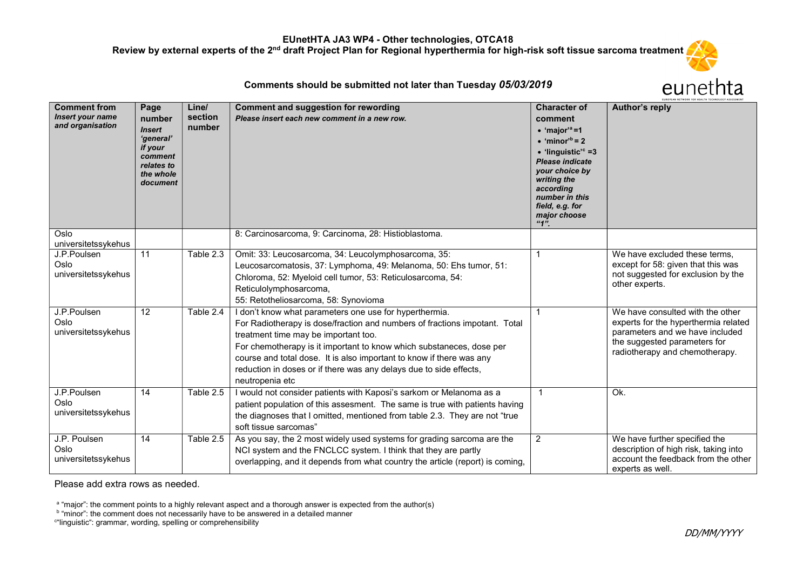Review by external experts of the 2<sup>nd</sup> draft Project Plan for Regional hyperthermia for high-risk soft tissue sarcoma treatment

## eunethta

## Comments should be submitted not later than Tuesday 05/03/2019

| <b>Comment from</b><br><b>Insert your name</b><br>and organisation | Page<br>number<br><b>Insert</b><br>'general'<br>if your<br>comment<br>relates to<br>the whole<br>document | Line/<br>section<br>number | <b>Comment and suggestion for rewording</b><br>Please insert each new comment in a new row.                                                                                                                                                                                                                                                                                                                           | <b>Character of</b><br>comment<br>$\bullet$ 'major' <sup>a</sup> =1<br>$\bullet$ 'minor <sup>'b</sup> = 2<br>$\bullet$ 'linguistic' <sup>c</sup> =3<br><b>Please indicate</b><br>your choice by<br>writing the<br>according<br>number in this<br>field, e.g. for<br>major choose<br>"1" | Author's reply                                                                                                                                                                |
|--------------------------------------------------------------------|-----------------------------------------------------------------------------------------------------------|----------------------------|-----------------------------------------------------------------------------------------------------------------------------------------------------------------------------------------------------------------------------------------------------------------------------------------------------------------------------------------------------------------------------------------------------------------------|-----------------------------------------------------------------------------------------------------------------------------------------------------------------------------------------------------------------------------------------------------------------------------------------|-------------------------------------------------------------------------------------------------------------------------------------------------------------------------------|
| Oslo<br>universitetssykehus                                        |                                                                                                           |                            | 8: Carcinosarcoma, 9: Carcinoma, 28: Histioblastoma.                                                                                                                                                                                                                                                                                                                                                                  |                                                                                                                                                                                                                                                                                         |                                                                                                                                                                               |
| J.P.Poulsen<br>Oslo<br>universitetssykehus                         | 11                                                                                                        | Table 2.3                  | Omit: 33: Leucosarcoma, 34: Leucolymphosarcoma, 35:<br>Leucosarcomatosis, 37: Lymphoma, 49: Melanoma, 50: Ehs tumor, 51:<br>Chloroma, 52: Myeloid cell tumor, 53: Reticulosarcoma, 54:<br>Reticulolymphosarcoma,<br>55: Retotheliosarcoma, 58: Synovioma                                                                                                                                                              |                                                                                                                                                                                                                                                                                         | We have excluded these terms,<br>except for 58: given that this was<br>not suggested for exclusion by the<br>other experts.                                                   |
| J.P.Poulsen<br>Oslo<br>universitetssykehus                         | 12                                                                                                        | Table 2.4                  | I don't know what parameters one use for hyperthermia.<br>For Radiotherapy is dose/fraction and numbers of fractions impotant. Total<br>treatment time may be important too.<br>For chemotherapy is it important to know which substaneces, dose per<br>course and total dose. It is also important to know if there was any<br>reduction in doses or if there was any delays due to side effects,<br>neutropenia etc |                                                                                                                                                                                                                                                                                         | We have consulted with the other<br>experts for the hyperthermia related<br>parameters and we have included<br>the suggested parameters for<br>radiotherapy and chemotherapy. |
| J.P.Poulsen<br>Oslo<br>universitetssykehus                         | 14                                                                                                        | Table 2.5                  | I would not consider patients with Kaposi's sarkom or Melanoma as a<br>patient population of this assesment. The same is true with patients having<br>the diagnoses that I omitted, mentioned from table 2.3. They are not "true<br>soft tissue sarcomas"                                                                                                                                                             | $\overline{1}$                                                                                                                                                                                                                                                                          | $\overline{OK}$                                                                                                                                                               |
| J.P. Poulsen<br>Oslo<br>universitetssykehus                        | 14                                                                                                        | Table 2.5                  | As you say, the 2 most widely used systems for grading sarcoma are the<br>NCI system and the FNCLCC system. I think that they are partly<br>overlapping, and it depends from what country the article (report) is coming,                                                                                                                                                                                             | $\overline{2}$                                                                                                                                                                                                                                                                          | We have further specified the<br>description of high risk, taking into<br>account the feedback from the other<br>experts as well.                                             |

Please add extra rows as needed.

<sup>a</sup> "major": the comment points to a highly relevant aspect and a thorough answer is expected from the author(s)<br><sup>b</sup> "minor": the comment does not necessarily have to be answered in a detailed manner